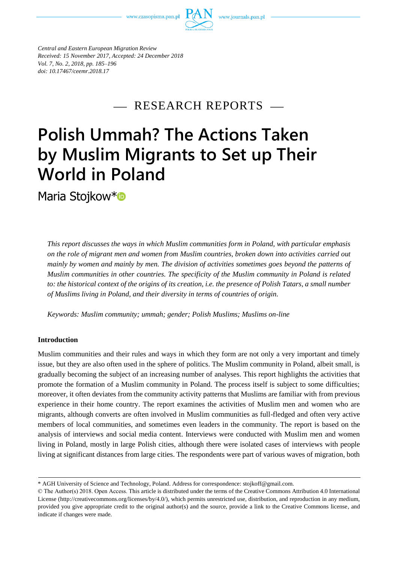www.czasopisma.pan.pl



*Central and Eastern European Migration Review Received: 15 November 2017, Accepted: 24 December 2018 Vol. 7, No. 2, 2018, pp. 185–196 doi: 10.17467/ceemr.2018.17*

- RESEARCH REPORTS

# **Polish Ummah? The Actions Taken by Muslim Migrants to Set up Their World in Poland**

Maria Stojkow\*<sup>®</sup>

*This report discusses the ways in which Muslim communities form in Poland, with particular emphasis on the role of migrant men and women from Muslim countries, broken down into activities carried out mainly by women and mainly by men. The division of activities sometimes goes beyond the patterns of Muslim communities in other countries. The specificity of the Muslim community in Poland is related to: the historical context of the origins of its creation, i.e. the presence of Polish Tatars, a small number of Muslims living in Poland, and their diversity in terms of countries of origin.* 

*Keywords: Muslim community; ummah; gender; Polish Muslims; Muslims on-line*

# **Introduction**

Muslim communities and their rules and ways in which they form are not only a very important and timely issue, but they are also often used in the sphere of politics. The Muslim community in Poland, albeit small, is gradually becoming the subject of an increasing number of analyses. This report highlights the activities that promote the formation of a Muslim community in Poland. The process itself is subject to some difficulties; moreover, it often deviates from the community activity patterns that Muslims are familiar with from previous experience in their home country. The report examines the activities of Muslim men and women who are migrants, although converts are often involved in Muslim communities as full-fledged and often very active members of local communities, and sometimes even leaders in the community. The report is based on the analysis of interviews and social media content. Interviews were conducted with Muslim men and women living in Poland, mostly in large Polish cities, although there were isolated cases of interviews with people living at significant distances from large cities. The respondents were part of various waves of migration, both

<sup>\*</sup> AGH University of Science and Technology, Poland. Address for correspondence: stojkoff@gmail.com.

<sup>©</sup> The Author(s) 2018. Open Access. This article is distributed under the terms of the Creative Commons Attribution 4.0 International License [\(http://creativecommons.org/licenses/by/4.0/\)](http://creativecommons.org/licenses/by/4.0/), which permits unrestricted use, distribution, and reproduction in any medium, provided you give appropriate credit to the original author(s) and the source, provide a link to the Creative Commons license, and indicate if changes were made.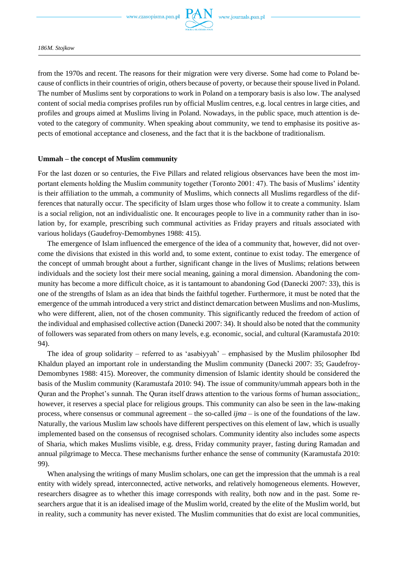

*186M. Stojkow*

from the 1970s and recent. The reasons for their migration were very diverse. Some had come to Poland because of conflicts in their countries of origin, others because of poverty, or because their spouse lived in Poland. The number of Muslims sent by corporations to work in Poland on a temporary basis is also low. The analysed content of social media comprises profiles run by official Muslim centres, e.g. local centres in large cities, and profiles and groups aimed at Muslims living in Poland. Nowadays, in the public space, much attention is devoted to the category of community. When speaking about community, we tend to emphasise its positive aspects of emotional acceptance and closeness, and the fact that it is the backbone of traditionalism.

### **Ummah – the concept of Muslim community**

For the last dozen or so centuries, the Five Pillars and related religious observances have been the most important elements holding the Muslim community together (Toronto 2001: 47). The basis of Muslims' identity is their affiliation to the ummah, a community of Muslims, which connects all Muslims regardless of the differences that naturally occur. The specificity of Islam urges those who follow it to create a community. Islam is a social religion, not an individualistic one. It encourages people to live in a community rather than in isolation by, for example, prescribing such communal activities as Friday prayers and rituals associated with various holidays (Gaudefroy-Demombynes 1988: 415).

The emergence of Islam influenced the emergence of the idea of a community that, however, did not overcome the divisions that existed in this world and, to some extent, continue to exist today. The emergence of the concept of ummah brought about a further, significant change in the lives of Muslims; relations between individuals and the society lost their mere social meaning, gaining a moral dimension. Abandoning the community has become a more difficult choice, as it is tantamount to abandoning God (Danecki 2007: 33), this is one of the strengths of Islam as an idea that binds the faithful together. Furthermore, it must be noted that the emergence of the ummah introduced a very strict and distinct demarcation between Muslims and non-Muslims, who were different, alien, not of the chosen community. This significantly reduced the freedom of action of the individual and emphasised collective action (Danecki 2007: 34). It should also be noted that the community of followers was separated from others on many levels, e.g. economic, social, and cultural (Karamustafa 2010: 94).

The idea of group solidarity – referred to as 'asabiyyah' – emphasised by the Muslim philosopher Ibd Khaldun played an important role in understanding the Muslim community (Danecki 2007: 35; Gaudefroy-Demombynes 1988: 415). Moreover, the community dimension of Islamic identity should be considered the basis of the Muslim community (Karamustafa 2010: 94). The issue of community/ummah appears both in the Quran and the Prophet's sunnah. The Quran itself draws attention to the various forms of human association;, however, it reserves a special place for religious groups. This community can also be seen in the law-making process, where consensus or communal agreement – the so-called *ijma* – is one of the foundations of the law. Naturally, the various Muslim law schools have different perspectives on this element of law, which is usually implemented based on the consensus of recognised scholars. Community identity also includes some aspects of Sharia, which makes Muslims visible, e.g. dress, Friday community prayer, fasting during Ramadan and annual pilgrimage to Mecca. These mechanisms further enhance the sense of community (Karamustafa 2010: 99).

When analysing the writings of many Muslim scholars, one can get the impression that the ummah is a real entity with widely spread, interconnected, active networks, and relatively homogeneous elements. However, researchers disagree as to whether this image corresponds with reality, both now and in the past. Some researchers argue that it is an idealised image of the Muslim world, created by the elite of the Muslim world, but in reality, such a community has never existed. The Muslim communities that do exist are local communities,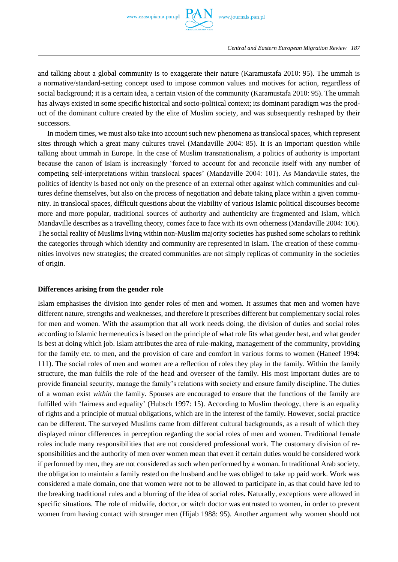

*Central and Eastern European Migration Review 187*

and talking about a global community is to exaggerate their nature (Karamustafa 2010: 95). The ummah is a normative/standard-setting concept used to impose common values and motives for action, regardless of social background; it is a certain idea, a certain vision of the community (Karamustafa 2010: 95). The ummah has always existed in some specific historical and socio-political context; its dominant paradigm was the product of the dominant culture created by the elite of Muslim society, and was subsequently reshaped by their successors.

In modern times, we must also take into account such new phenomena as translocal spaces, which represent sites through which a great many cultures travel (Mandaville 2004: 85). It is an important question while talking about ummah in Europe. In the case of Muslim transnationalism, a politics of authority is important because the canon of Islam is increasingly 'forced to account for and reconcile itself with any number of competing self-interpretations within translocal spaces' (Mandaville 2004: 101). As Mandaville states, the politics of identity is based not only on the presence of an external other against which communities and cultures define themselves, but also on the process of negotiation and debate taking place within a given community. In translocal spaces, difficult questions about the viability of various Islamic political discourses become more and more popular, traditional sources of authority and authenticity are fragmented and Islam, which Mandaville describes as a travelling theory, comes face to face with its own otherness (Mandaville 2004: 106). The social reality of Muslims living within non-Muslim majority societies has pushed some scholars to rethink the categories through which identity and community are represented in Islam. The creation of these communities involves new strategies; the created communities are not simply replicas of community in the societies of origin.

## **Differences arising from the gender role**

Islam emphasises the division into gender roles of men and women. It assumes that men and women have different nature, strengths and weaknesses, and therefore it prescribes different but complementary social roles for men and women. With the assumption that all work needs doing, the division of duties and social roles according to Islamic hermeneutics is based on the principle of what role fits what gender best, and what gender is best at doing which job. Islam attributes the area of rule-making, management of the community, providing for the family etc. to men, and the provision of care and comfort in various forms to women (Haneef 1994: 111). The social roles of men and women are a reflection of roles they play in the family. Within the family structure, the man fulfils the role of the head and overseer of the family. His most important duties are to provide financial security, manage the family's relations with society and ensure family discipline. The duties of a woman exist *within* the family. Spouses are encouraged to ensure that the functions of the family are fulfilled with 'fairness and equality' (Hubsch 1997: 15). According to Muslim theology, there is an equality of rights and a principle of mutual obligations, which are in the interest of the family. However, social practice can be different. The surveyed Muslims came from different cultural backgrounds, as a result of which they displayed minor differences in perception regarding the social roles of men and women. Traditional female roles include many responsibilities that are not considered professional work. The customary division of responsibilities and the authority of men over women mean that even if certain duties would be considered work if performed by men, they are not considered as such when performed by a woman. In traditional Arab society, the obligation to maintain a family rested on the husband and he was obliged to take up paid work. Work was considered a male domain, one that women were not to be allowed to participate in, as that could have led to the breaking traditional rules and a blurring of the idea of social roles. Naturally, exceptions were allowed in specific situations. The role of midwife, doctor, or witch doctor was entrusted to women, in order to prevent women from having contact with stranger men (Hijab 1988: 95). Another argument why women should not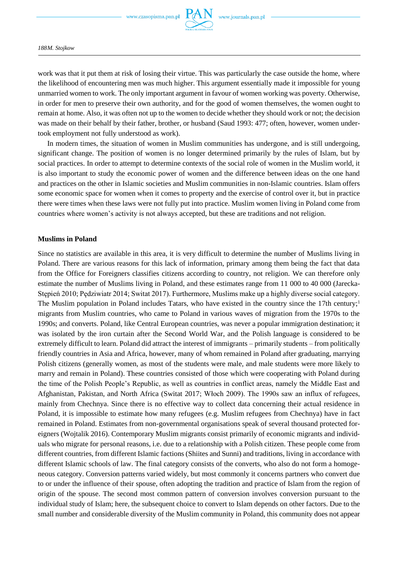

work was that it put them at risk of losing their virtue. This was particularly the case outside the home, where the likelihood of encountering men was much higher. This argument essentially made it impossible for young unmarried women to work. The only important argument in favour of women working was poverty. Otherwise, in order for men to preserve their own authority, and for the good of women themselves, the women ought to remain at home. Also, it was often not up to the women to decide whether they should work or not; the decision was made on their behalf by their father, brother, or husband (Saud 1993: 477; often, however, women undertook employment not fully understood as work).

In modern times, the situation of women in Muslim communities has undergone, and is still undergoing, significant change. The position of women is no longer determined primarily by the rules of Islam, but by social practices. In order to attempt to determine contexts of the social role of women in the Muslim world, it is also important to study the economic power of women and the difference between ideas on the one hand and practices on the other in Islamic societies and Muslim communities in non-Islamic countries. Islam offers some economic space for women when it comes to property and the exercise of control over it, but in practice there were times when these laws were not fully put into practice. Muslim women living in Poland come from countries where women's activity is not always accepted, but these are traditions and not religion.

#### **Muslims in Poland**

Since no statistics are available in this area, it is very difficult to determine the number of Muslims living in Poland. There are various reasons for this lack of information, primary among them being the fact that data from the Office for Foreigners classifies citizens according to country, not religion. We can therefore only estimate the number of Muslims living in Poland, and these estimates range from 11 000 to 40 000 (Jarecka-Stępień 2010; Pędziwiatr 2014; Switat 2017). Furthermore, Muslims make up a highly diverse social category. The Muslim population in Poland includes Tatars, who have existed in the country since the 17th century;<sup>1</sup> migrants from Muslim countries, who came to Poland in various waves of migration from the 1970s to the 1990s; and converts. Poland, like Central European countries, was never a popular immigration destination; it was isolated by the iron curtain after the Second World War, and the Polish language is considered to be extremely difficult to learn. Poland did attract the interest of immigrants – primarily students – from politically friendly countries in Asia and Africa, however, many of whom remained in Poland after graduating, marrying Polish citizens (generally women, as most of the students were male, and male students were more likely to marry and remain in Poland). These countries consisted of those which were cooperating with Poland during the time of the Polish People's Republic, as well as countries in conflict areas, namely the Middle East and Afghanistan, Pakistan, and North Africa (Switat 2017; Włoch 2009). The 1990s saw an influx of refugees, mainly from Chechnya. Since there is no effective way to collect data concerning their actual residence in Poland, it is impossible to estimate how many refugees (e.g. Muslim refugees from Chechnya) have in fact remained in Poland. Estimates from non-governmental organisations speak of several thousand protected foreigners (Wojtalik 2016). Contemporary Muslim migrants consist primarily of economic migrants and individuals who migrate for personal reasons, i.e. due to a relationship with a Polish citizen. These people come from different countries, from different Islamic factions (Shiites and Sunni) and traditions, living in accordance with different Islamic schools of law. The final category consists of the converts, who also do not form a homogeneous category. Conversion patterns varied widely, but most commonly it concerns partners who convert due to or under the influence of their spouse, often adopting the tradition and practice of Islam from the region of origin of the spouse. The second most common pattern of conversion involves conversion pursuant to the individual study of Islam; here, the subsequent choice to convert to Islam depends on other factors. Due to the small number and considerable diversity of the Muslim community in Poland, this community does not appear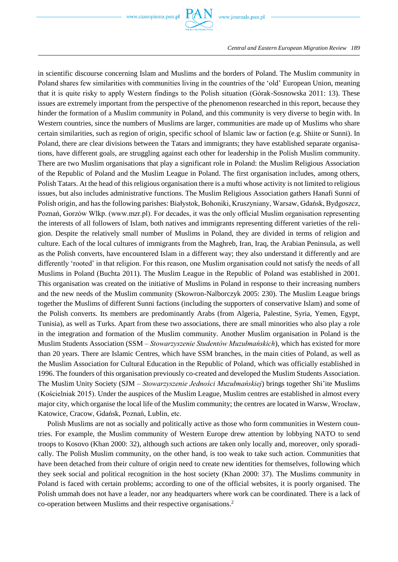

in scientific discourse concerning Islam and Muslims and the borders of Poland. The Muslim community in Poland shares few similarities with communities living in the countries of the 'old' European Union, meaning that it is quite risky to apply Western findings to the Polish situation (Górak-Sosnowska 2011: 13). These issues are extremely important from the perspective of the phenomenon researched in this report, because they hinder the formation of a Muslim community in Poland, and this community is very diverse to begin with. In Western countries, since the numbers of Muslims are larger, communities are made up of Muslims who share certain similarities, such as region of origin, specific school of Islamic law or faction (e.g. Shiite or Sunni). In Poland, there are clear divisions between the Tatars and immigrants; they have established separate organisations, have different goals, are struggling against each other for leadership in the Polish Muslim community. There are two Muslim organisations that play a significant role in Poland: the Muslim Religious Association of the Republic of Poland and the Muslim League in Poland. The first organisation includes, among others, Polish Tatars. At the head of this religious organisation there is a mufti whose activity is not limited to religious issues, but also includes administrative functions. The Muslim Religious Association gathers Hanafi Sunni of Polish origin, and has the following parishes: Białystok, Bohoniki, Kruszyniany, Warsaw, Gdańsk, Bydgoszcz, Poznań, Gorzów Wlkp. (www.mzr.pl). For decades, it was the only official Muslim organisation representing the interests of all followers of Islam, both natives and immigrants representing different varieties of the religion. Despite the relatively small number of Muslims in Poland, they are divided in terms of religion and culture. Each of the local cultures of immigrants from the Maghreb, Iran, Iraq, the Arabian Peninsula, as well as the Polish converts, have encountered Islam in a different way; they also understand it differently and are differently 'rooted' in that religion. For this reason, one Muslim organisation could not satisfy the needs of all Muslims in Poland (Buchta 2011). The Muslim League in the Republic of Poland was established in 2001. This organisation was created on the initiative of Muslims in Poland in response to their increasing numbers and the new needs of the Muslim community (Skowron-Nalborczyk 2005: 230). The Muslim League brings together the Muslims of different Sunni factions (including the supporters of conservative Islam) and some of the Polish converts. Its members are predominantly Arabs (from Algeria, Palestine, Syria, Yemen, Egypt, Tunisia), as well as Turks. Apart from these two associations, there are small minorities who also play a role in the integration and formation of the Muslim community. Another Muslim organisation in Poland is the Muslim Students Association (SSM – *Stowarzyszenie Studentów Muzułmańskich*), which has existed for more than 20 years. There are Islamic Centres, which have SSM branches, in the main cities of Poland, as well as the Muslim Association for Cultural Education in the Republic of Poland, which was officially established in 1996. The founders of this organisation previously co-created and developed the Muslim Students Association. The Muslim Unity Society (SJM – *Stowarzyszenie Jedności Muzułmańskiej*) brings together Shi'ite Muslims (Kościelniak 2015). Under the auspices of the Muslim League, Muslim centres are established in almost every major city, which organise the local life of the Muslim community; the centres are located in Warsw, Wrocław, Katowice, Cracow, Gdańsk, Poznań, Lublin, etc.

Polish Muslims are not as socially and politically active as those who form communities in Western countries. For example, the Muslim community of Western Europe drew attention by lobbying NATO to send troops to Kosovo (Khan 2000: 32), although such actions are taken only locally and, moreover, only sporadically. The Polish Muslim community, on the other hand, is too weak to take such action. Communities that have been detached from their culture of origin need to create new identities for themselves, following which they seek social and political recognition in the host society (Khan 2000: 37). The Muslims community in Poland is faced with certain problems; according to one of the official websites, it is poorly organised. The Polish ummah does not have a leader, nor any headquarters where work can be coordinated. There is a lack of co-operation between Muslims and their respective organisations. 2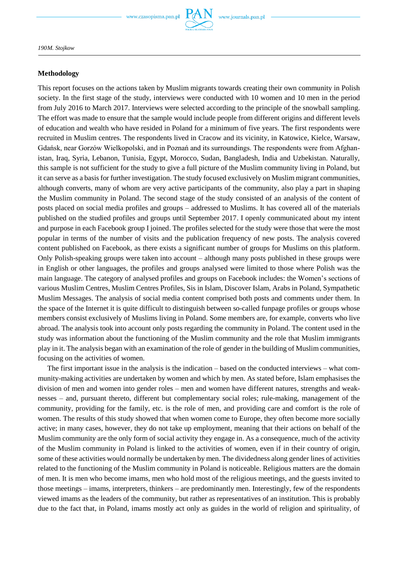

*190M. Stojkow*

#### **Methodology**

This report focuses on the actions taken by Muslim migrants towards creating their own community in Polish society. In the first stage of the study, interviews were conducted with 10 women and 10 men in the period from July 2016 to March 2017. Interviews were selected according to the principle of the snowball sampling. The effort was made to ensure that the sample would include people from different origins and different levels of education and wealth who have resided in Poland for a minimum of five years. The first respondents were recruited in Muslim centres. The respondents lived in Cracow and its vicinity, in Katowice, Kielce, Warsaw, Gdańsk, near Gorzów Wielkopolski, and in Poznań and its surroundings. The respondents were from Afghanistan, Iraq, Syria, Lebanon, Tunisia, Egypt, Morocco, Sudan, Bangladesh, India and Uzbekistan. Naturally, this sample is not sufficient for the study to give a full picture of the Muslim community living in Poland, but it can serve as a basis for further investigation. The study focused exclusively on Muslim migrant communities, although converts, many of whom are very active participants of the community, also play a part in shaping the Muslim community in Poland. The second stage of the study consisted of an analysis of the content of posts placed on social media profiles and groups – addressed to Muslims. It has covered all of the materials published on the studied profiles and groups until September 2017. I openly communicated about my intent and purpose in each Facebook group I joined. The profiles selected for the study were those that were the most popular in terms of the number of visits and the publication frequency of new posts. The analysis covered content published on Facebook, as there exists a significant number of groups for Muslims on this platform. Only Polish-speaking groups were taken into account – although many posts published in these groups were in English or other languages, the profiles and groups analysed were limited to those where Polish was the main language. The category of analysed profiles and groups on Facebook includes: the Women's sections of various Muslim Centres, Muslim Centres Profiles, Sis in Islam, Discover Islam, Arabs in Poland, Sympathetic Muslim Messages. The analysis of social media content comprised both posts and comments under them. In the space of the Internet it is quite difficult to distinguish between so-called funpage profiles or groups whose members consist exclusively of Muslims living in Poland. Some members are, for example, converts who live abroad. The analysis took into account only posts regarding the community in Poland. The content used in the study was information about the functioning of the Muslim community and the role that Muslim immigrants play in it. The analysis began with an examination of the role of gender in the building of Muslim communities, focusing on the activities of women.

The first important issue in the analysis is the indication – based on the conducted interviews – what community-making activities are undertaken by women and which by men. As stated before, Islam emphasises the division of men and women into gender roles – men and women have different natures, strengths and weaknesses – and, pursuant thereto, different but complementary social roles; rule-making, management of the community, providing for the family, etc. is the role of men, and providing care and comfort is the role of women. The results of this study showed that when women come to Europe, they often become more socially active; in many cases, however, they do not take up employment, meaning that their actions on behalf of the Muslim community are the only form of social activity they engage in. As a consequence, much of the activity of the Muslim community in Poland is linked to the activities of women, even if in their country of origin, some of these activities would normally be undertaken by men. The dividedness along gender lines of activities related to the functioning of the Muslim community in Poland is noticeable. Religious matters are the domain of men. It is men who become imams, men who hold most of the religious meetings, and the guests invited to those meetings – imams, interpreters, thinkers – are predominantly men. Interestingly, few of the respondents viewed imams as the leaders of the community, but rather as representatives of an institution. This is probably due to the fact that, in Poland, imams mostly act only as guides in the world of religion and spirituality, of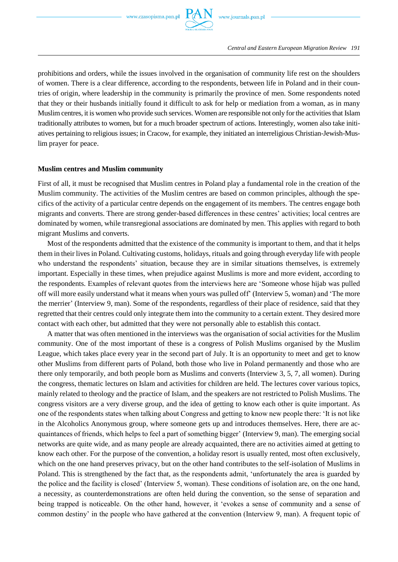

prohibitions and orders, while the issues involved in the organisation of community life rest on the shoulders of women. There is a clear difference, according to the respondents, between life in Poland and in their countries of origin, where leadership in the community is primarily the province of men. Some respondents noted that they or their husbands initially found it difficult to ask for help or mediation from a woman, as in many Muslim centres, it is women who provide such services. Women are responsible not only for the activities that Islam traditionally attributes to women, but for a much broader spectrum of actions. Interestingly, women also take initiatives pertaining to religious issues; in Cracow, for example, they initiated an interreligious Christian-Jewish-Muslim prayer for peace.

### **Muslim centres and Muslim community**

First of all, it must be recognised that Muslim centres in Poland play a fundamental role in the creation of the Muslim community. The activities of the Muslim centres are based on common principles, although the specifics of the activity of a particular centre depends on the engagement of its members. The centres engage both migrants and converts. There are strong gender-based differences in these centres' activities; local centres are dominated by women, while transregional associations are dominated by men. This applies with regard to both migrant Muslims and converts.

Most of the respondents admitted that the existence of the community is important to them, and that it helps them in their lives in Poland. Cultivating customs, holidays, rituals and going through everyday life with people who understand the respondents' situation, because they are in similar situations themselves, is extremely important. Especially in these times, when prejudice against Muslims is more and more evident, according to the respondents. Examples of relevant quotes from the interviews here are 'Someone whose hijab was pulled off will more easily understand what it means when yours was pulled off' (Interview 5, woman) and 'The more the merrier' (Interview 9, man). Some of the respondents, regardless of their place of residence, said that they regretted that their centres could only integrate them into the community to a certain extent. They desired more contact with each other, but admitted that they were not personally able to establish this contact.

A matter that was often mentioned in the interviews was the organisation of social activities for the Muslim community. One of the most important of these is a congress of Polish Muslims organised by the Muslim League, which takes place every year in the second part of July. It is an opportunity to meet and get to know other Muslims from different parts of Poland, both those who live in Poland permanently and those who are there only temporarily, and both people born as Muslims and converts (Interview 3, 5, 7, all women). During the congress, thematic lectures on Islam and activities for children are held. The lectures cover various topics, mainly related to theology and the practice of Islam, and the speakers are not restricted to Polish Muslims. The congress visitors are a very diverse group, and the idea of getting to know each other is quite important. As one of the respondents states when talking about Congress and getting to know new people there: 'It is not like in the Alcoholics Anonymous group, where someone gets up and introduces themselves. Here, there are acquaintances of friends, which helps to feel a part of something bigger' (Interview 9, man). The emerging social networks are quite wide, and as many people are already acquainted, there are no activities aimed at getting to know each other. For the purpose of the convention, a holiday resort is usually rented, most often exclusively, which on the one hand preserves privacy, but on the other hand contributes to the self-isolation of Muslims in Poland. This is strengthened by the fact that, as the respondents admit, 'unfortunately the area is guarded by the police and the facility is closed' (Interview 5, woman). These conditions of isolation are, on the one hand, a necessity, as counterdemonstrations are often held during the convention, so the sense of separation and being trapped is noticeable. On the other hand, however, it 'evokes a sense of community and a sense of common destiny' in the people who have gathered at the convention (Interview 9, man). A frequent topic of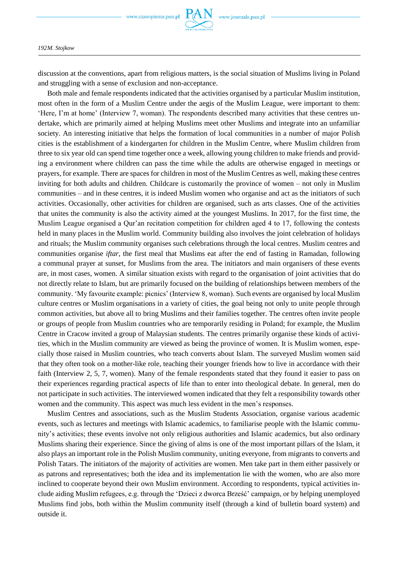

discussion at the conventions, apart from religious matters, is the social situation of Muslims living in Poland and struggling with a sense of exclusion and non-acceptance.

Both male and female respondents indicated that the activities organised by a particular Muslim institution, most often in the form of a Muslim Centre under the aegis of the Muslim League, were important to them: 'Here, I'm at home' (Interview 7, woman). The respondents described many activities that these centres undertake, which are primarily aimed at helping Muslims meet other Muslims and integrate into an unfamiliar society. An interesting initiative that helps the formation of local communities in a number of major Polish cities is the establishment of a kindergarten for children in the Muslim Centre, where Muslim children from three to six year old can spend time together once a week, allowing young children to make friends and providing a environment where children can pass the time while the adults are otherwise engaged in meetings or prayers, for example. There are spaces for children in most of the Muslim Centres as well, making these centres inviting for both adults and children. Childcare is customarily the province of women – not only in Muslim communities – and in these centres, it is indeed Muslim women who organise and act as the initiators of such activities. Occasionally, other activities for children are organised, such as arts classes. One of the activities that unites the community is also the activity aimed at the youngest Muslims. In 2017, for the first time, the Muslim League organised a Qur'an recitation competition for children aged 4 to 17, following the contests held in many places in the Muslim world. Community building also involves the joint celebration of holidays and rituals; the Muslim community organises such celebrations through the local centres. Muslim centres and communities organise *iftar*, the first meal that Muslims eat after the end of fasting in Ramadan, following a communal prayer at sunset, for Muslims from the area. The initiators and main organisers of these events are, in most cases, women. A similar situation exists with regard to the organisation of joint activities that do not directly relate to Islam, but are primarily focused on the building of relationships between members of the community. 'My favourite example: picnics' (Interview 8, woman). Such events are organised by local Muslim culture centres or Muslim organisations in a variety of cities, the goal being not only to unite people through common activities, but above all to bring Muslims and their families together. The centres often invite people or groups of people from Muslim countries who are temporarily residing in Poland; for example, the Muslim Centre in Cracow invited a group of Malaysian students. The centres primarily organise these kinds of activities, which in the Muslim community are viewed as being the province of women. It is Muslim women, especially those raised in Muslim countries, who teach converts about Islam. The surveyed Muslim women said that they often took on a mother-like role, teaching their younger friends how to live in accordance with their faith (Interview 2, 5, 7, women). Many of the female respondents stated that they found it easier to pass on their experiences regarding practical aspects of life than to enter into theological debate. In general, men do not participate in such activities. The interviewed women indicated that they felt a responsibility towards other women and the community. This aspect was much less evident in the men's responses.

Muslim Centres and associations, such as the Muslim Students Association, organise various academic events, such as lectures and meetings with Islamic academics, to familiarise people with the Islamic community's activities; these events involve not only religious authorities and Islamic academics, but also ordinary Muslims sharing their experience. Since the giving of alms is one of the most important pillars of the Islam, it also plays an important role in the Polish Muslim community, uniting everyone, from migrants to converts and Polish Tatars. The initiators of the majority of activities are women. Men take part in them either passively or as patrons and representatives; both the idea and its implementation lie with the women, who are also more inclined to cooperate beyond their own Muslim environment. According to respondents, typical activities include aiding Muslim refugees, e.g. through the 'Dzieci z dworca Brześć' campaign, or by helping unemployed Muslims find jobs, both within the Muslim community itself (through a kind of bulletin board system) and outside it.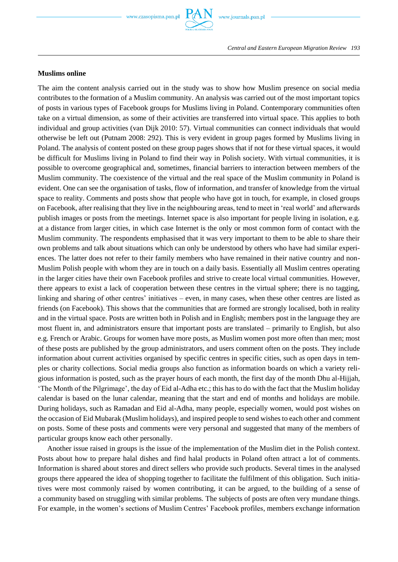# **Muslims online**

The aim the content analysis carried out in the study was to show how Muslim presence on social media contributes to the formation of a Muslim community. An analysis was carried out of the most important topics of posts in various types of Facebook groups for Muslims living in Poland. Contemporary communities often take on a virtual dimension, as some of their activities are transferred into virtual space. This applies to both individual and group activities (van Dijk 2010: 57). Virtual communities can connect individuals that would otherwise be left out (Putnam 2008: 292). This is very evident in group pages formed by Muslims living in Poland. The analysis of content posted on these group pages shows that if not for these virtual spaces, it would be difficult for Muslims living in Poland to find their way in Polish society. With virtual communities, it is possible to overcome geographical and, sometimes, financial barriers to interaction between members of the Muslim community. The coexistence of the virtual and the real space of the Muslim community in Poland is evident. One can see the organisation of tasks, flow of information, and transfer of knowledge from the virtual space to reality. Comments and posts show that people who have got in touch, for example, in closed groups on Facebook, after realising that they live in the neighbouring areas, tend to meet in 'real world' and afterwards publish images or posts from the meetings. Internet space is also important for people living in isolation, e.g. at a distance from larger cities, in which case Internet is the only or most common form of contact with the Muslim community. The respondents emphasised that it was very important to them to be able to share their own problems and talk about situations which can only be understood by others who have had similar experiences. The latter does not refer to their family members who have remained in their native country and non-Muslim Polish people with whom they are in touch on a daily basis. Essentially all Muslim centres operating in the larger cities have their own Facebook profiles and strive to create local virtual communities. However, there appears to exist a lack of cooperation between these centres in the virtual sphere; there is no tagging, linking and sharing of other centres' initiatives – even, in many cases, when these other centres are listed as friends (on Facebook). This shows that the communities that are formed are strongly localised, both in reality and in the virtual space. Posts are written both in Polish and in English; members post in the language they are most fluent in, and administrators ensure that important posts are translated – primarily to English, but also e.g. French or Arabic. Groups for women have more posts, as Muslim women post more often than men; most of these posts are published by the group administrators, and users comment often on the posts. They include information about current activities organised by specific centres in specific cities, such as open days in temples or charity collections. Social media groups also function as information boards on which a variety religious information is posted, such as the prayer hours of each month, the first day of the month Dhu al-Hijjah, 'The Month of the Pilgrimage', the day of Eid al-Adha etc.; this has to do with the fact that the Muslim holiday calendar is based on the lunar calendar, meaning that the start and end of months and holidays are mobile. During holidays, such as Ramadan and Eid al-Adha, many people, especially women, would post wishes on the occasion of Eid Mubarak (Muslim holidays), and inspired people to send wishes to each other and comment on posts. Some of these posts and comments were very personal and suggested that many of the members of particular groups know each other personally.

Another issue raised in groups is the issue of the implementation of the Muslim diet in the Polish context. Posts about how to prepare halal dishes and find halal products in Poland often attract a lot of comments. Information is shared about stores and direct sellers who provide such products. Several times in the analysed groups there appeared the idea of shopping together to facilitate the fulfilment of this obligation. Such initiatives were most commonly raised by women contributing, it can be argued, to the building of a sense of a community based on struggling with similar problems. The subjects of posts are often very mundane things. For example, in the women's sections of Muslim Centres' Facebook profiles, members exchange information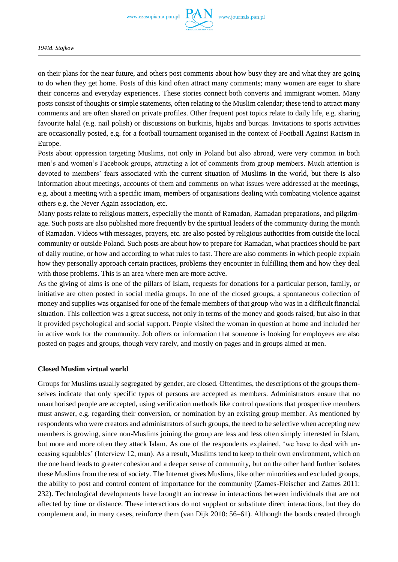

on their plans for the near future, and others post comments about how busy they are and what they are going to do when they get home. Posts of this kind often attract many comments; many women are eager to share their concerns and everyday experiences. These stories connect both converts and immigrant women. Many posts consist of thoughts or simple statements, often relating to the Muslim calendar; these tend to attract many comments and are often shared on private profiles. Other frequent post topics relate to daily life, e.g. sharing favourite halal (e.g. nail polish) or discussions on burkinis, hijabs and burqas. Invitations to sports activities are occasionally posted, e.g. for a football tournament organised in the context of Football Against Racism in Europe.

Posts about oppression targeting Muslims, not only in Poland but also abroad, were very common in both men's and women's Facebook groups, attracting a lot of comments from group members. Much attention is devoted to members' fears associated with the current situation of Muslims in the world, but there is also information about meetings, accounts of them and comments on what issues were addressed at the meetings, e.g. about a meeting with a specific imam, members of organisations dealing with combating violence against others e.g. the Never Again association, etc.

Many posts relate to religious matters, especially the month of Ramadan, Ramadan preparations, and pilgrimage. Such posts are also published more frequently by the spiritual leaders of the community during the month of Ramadan. Videos with messages, prayers, etc. are also posted by religious authorities from outside the local community or outside Poland. Such posts are about how to prepare for Ramadan, what practices should be part of daily routine, or how and according to what rules to fast. There are also comments in which people explain how they personally approach certain practices, problems they encounter in fulfilling them and how they deal with those problems. This is an area where men are more active.

As the giving of alms is one of the pillars of Islam, requests for donations for a particular person, family, or initiative are often posted in social media groups. In one of the closed groups, a spontaneous collection of money and supplies was organised for one of the female members of that group who was in a difficult financial situation. This collection was a great success, not only in terms of the money and goods raised, but also in that it provided psychological and social support. People visited the woman in question at home and included her in active work for the community. Job offers or information that someone is looking for employees are also posted on pages and groups, though very rarely, and mostly on pages and in groups aimed at men.

# **Closed Muslim virtual world**

Groups for Muslims usually segregated by gender, are closed. Oftentimes, the descriptions of the groups themselves indicate that only specific types of persons are accepted as members. Administrators ensure that no unauthorised people are accepted, using verification methods like control questions that prospective members must answer, e.g. regarding their conversion, or nomination by an existing group member. As mentioned by respondents who were creators and administrators of such groups, the need to be selective when accepting new members is growing, since non-Muslims joining the group are less and less often simply interested in Islam, but more and more often they attack Islam. As one of the respondents explained, 'we have to deal with unceasing squabbles' (Interview 12, man). As a result, Muslims tend to keep to their own environment, which on the one hand leads to greater cohesion and a deeper sense of community, but on the other hand further isolates these Muslims from the rest of society. The Internet gives Muslims, like other minorities and excluded groups, the ability to post and control content of importance for the community (Zames-Fleischer and Zames 2011: 232). Technological developments have brought an increase in interactions between individuals that are not affected by time or distance. These interactions do not supplant or substitute direct interactions, but they do complement and, in many cases, reinforce them (van Dijk 2010: 56–61). Although the bonds created through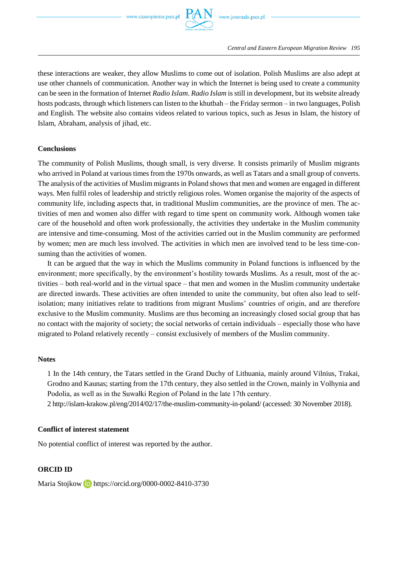

these interactions are weaker, they allow Muslims to come out of isolation. Polish Muslims are also adept at use other channels of communication. Another way in which the Internet is being used to create a community can be seen in the formation of Internet *Radio Islam*. *Radio Islam* is still in development, but its website already hosts podcasts, through which listeners can listen to the khutbah – the Friday sermon – in two languages, Polish and English. The website also contains videos related to various topics, such as Jesus in Islam, the history of Islam, Abraham, analysis of jihad, etc.

### **Conclusions**

The community of Polish Muslims, though small, is very diverse. It consists primarily of Muslim migrants who arrived in Poland at various times from the 1970s onwards, as well as Tatars and a small group of converts. The analysis of the activities of Muslim migrants in Poland shows that men and women are engaged in different ways. Men fulfil roles of leadership and strictly religious roles. Women organise the majority of the aspects of community life, including aspects that, in traditional Muslim communities, are the province of men. The activities of men and women also differ with regard to time spent on community work. Although women take care of the household and often work professionally, the activities they undertake in the Muslim community are intensive and time-consuming. Most of the activities carried out in the Muslim community are performed by women; men are much less involved. The activities in which men are involved tend to be less time-consuming than the activities of women.

It can be argued that the way in which the Muslims community in Poland functions is influenced by the environment; more specifically, by the environment's hostility towards Muslims. As a result, most of the activities – both real-world and in the virtual space – that men and women in the Muslim community undertake are directed inwards. These activities are often intended to unite the community, but often also lead to selfisolation; many initiatives relate to traditions from migrant Muslims' countries of origin, and are therefore exclusive to the Muslim community. Muslims are thus becoming an increasingly closed social group that has no contact with the majority of society; the social networks of certain individuals – especially those who have migrated to Poland relatively recently – consist exclusively of members of the Muslim community.

#### **Notes**

1 In the 14th century, the Tatars settled in the Grand Duchy of Lithuania, mainly around Vilnius, Trakai, Grodno and Kaunas; starting from the 17th century, they also settled in the Crown, mainly in Volhynia and Podolia, as well as in the Suwałki Region of Poland in the late 17th century.

2 http://islam-krakow.pl/eng/2014/02/17/the-muslim-community-in-poland/ (accessed: 30 November 2018).

# **Conflict of interest statement**

No potential conflict of interest was reported by the author.

# **ORCID ID**

MariaStojkow **iD** https://orcid.org/0000-0002-8410-3730